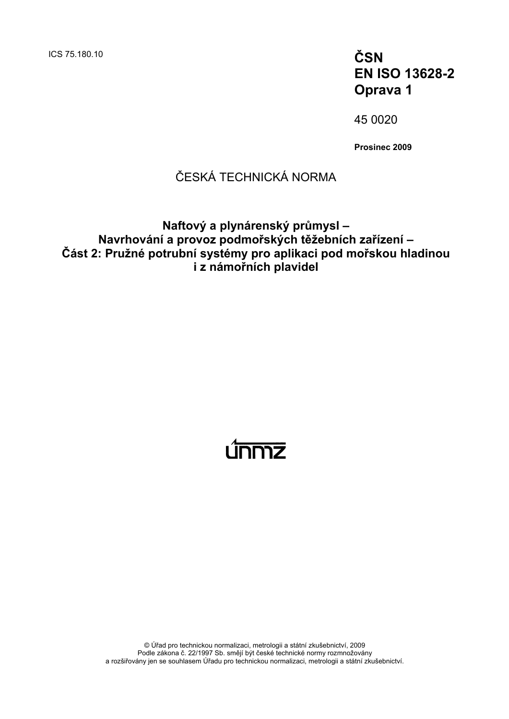# **EN ISO 13628-2 Oprava 1**

45 0020

**Prosinec 2009** 

### ČESKÁ TECHNICKÁ NORMA

### **Naftový a plynárenský průmysl – Navrhování a provoz podmořských těžebních zařízení – Část 2: Pružné potrubní systémy pro aplikaci pod mořskou hladinou i z námořních plavidel**

# <u>únmz</u>

© Úřad pro technickou normalizaci, metrologii a státní zkušebnictví, 2009 Podle zákona č. 22/1997 Sb. smějí být české technické normy rozmnožovány a rozšiřovány jen se souhlasem Úřadu pro technickou normalizaci, metrologii a státní zkušebnictví.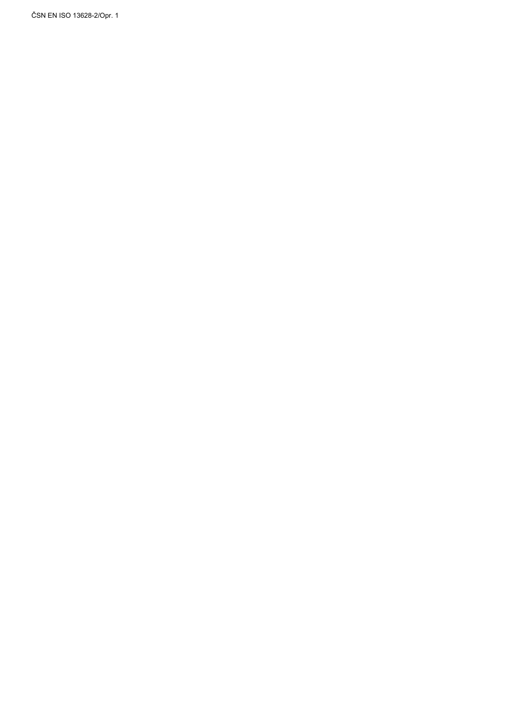ČSN EN ISO 13628-2/Opr. 1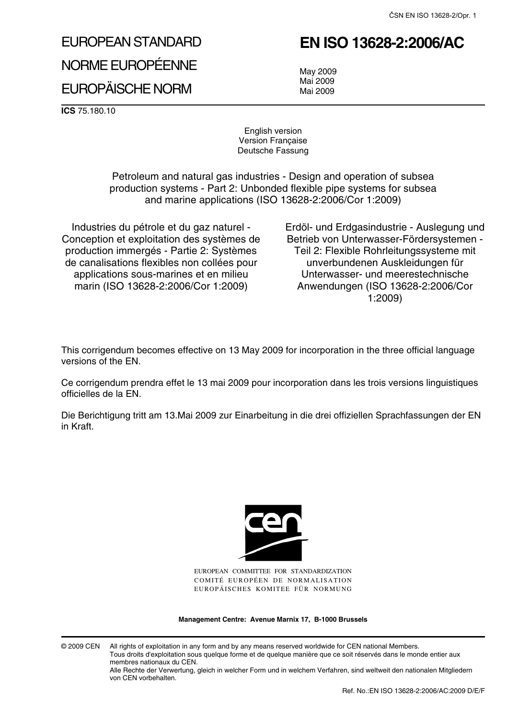## EUROPEAN STANDARD NORME EUROPÉENNE EUROPÄISCHE NORM

### **EN ISO 13628-2:2006/AC**

May 2009 Mai 2009 Mai 2009

**ICS** 75.180.10

English version Version Française Deutsche Fassung

Petroleum and natural gas industries - Design and operation of subsea production systems - Part 2: Unbonded flexible pipe systems for subsea and marine applications (ISO 13628-2:2006/Cor 1:2009)

Industries du pétrole et du gaz naturel - Conception et exploitation des systèmes de production immergés - Partie 2: Systèmes de canalisations flexibles non collées pour applications sous-marines et en milieu marin (ISO 13628-2:2006/Cor 1:2009)

Erdöl- und Erdgasindustrie - Auslegung und Betrieb von Unterwasser-Fördersystemen - Teil 2: Flexible Rohrleitungssysteme mit unverbundenen Auskleidungen für Unterwasser- und meerestechnische Anwendungen (ISO 13628-2:2006/Cor 1:2009)

This corrigendum becomes effective on 13 May 2009 for incorporation in the three official language versions of the EN.

Ce corrigendum prendra effet le 13 mai 2009 pour incorporation dans les trois versions linguistiques officielles de la EN.

Die Berichtigung tritt am 13.Mai 2009 zur Einarbeitung in die drei offiziellen Sprachfassungen der EN in Kraft.



EUROPEAN COMMITTEE FOR STANDARDIZATION COMITÉ EUROPÉEN DE NORMALISATION EUROPÄISCHES KOMITEE FÜR NORMUNG

**Management Centre: Avenue Marnix 17, B-1000 Brussels**

© 2009 CEN All rights of exploitation in any form and by any means reserved worldwide for CEN national Members. Tous droits d'exploitation sous quelque forme et de quelque manière que ce soit réservés dans le monde entier aux membres nationaux du CEN. Alle Rechte der Verwertung, gleich in welcher Form und in welchem Verfahren, sind weltweit den nationalen Mitgliedern

von CEN vorbehalten.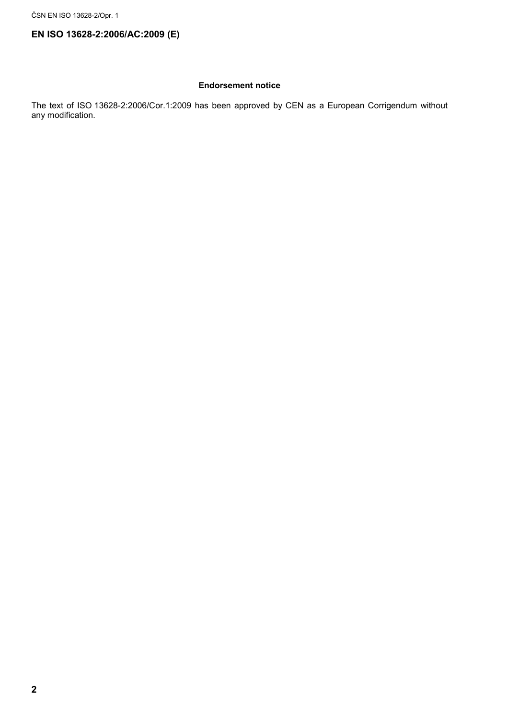ČSN EN ISO 13628-2/Opr. 1

#### **EN ISO 13628-2:2006/AC:2009 (E)**

#### **Endorsement notice**

The text of ISO 13628-2:2006/Cor.1:2009 has been approved by CEN as a European Corrigendum without any modification.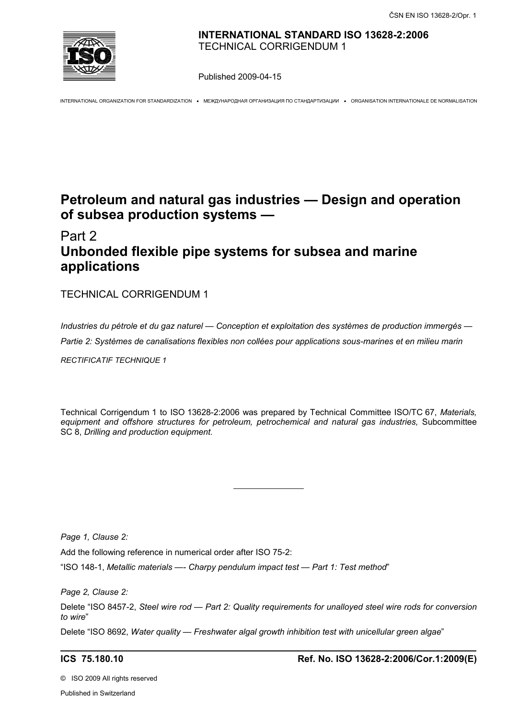

#### **INTERNATIONAL STANDARD ISO 13628-2:2006**  TECHNICAL CORRIGENDUM 1

Published 2009-04-15

INTERNATIONAL ORGANIZATION FOR STANDARDIZATION • МЕЖДУНАРОДНАЯ ОРГАНИЗАЦИЯ ПО СТАНДАРТИЗАЦИИ • ORGANISATION INTERNATIONALE DE NORMALISATION

### **Petroleum and natural gas industries — Design and operation of subsea production systems —**

### Part 2 **Unbonded flexible pipe systems for subsea and marine applications**

TECHNICAL CORRIGENDUM 1

*Industries du pétrole et du gaz naturel — Conception et exploitation des systèmes de production immergés — Partie 2: Systèmes de canalisations flexibles non collées pour applications sous-marines et en milieu marin*

*RECTIFICATIF TECHNIQUE 1* 

Technical Corrigendum 1 to ISO 13628-2:2006 was prepared by Technical Committee ISO/TC 67, *Materials, equipment and offshore structures for petroleum, petrochemical and natural gas industries,* Subcommittee SC 8, *Drilling and production equipment.* 

*Page 1, Clause 2:* Add the following reference in numerical order after ISO 75-2: "ISO 148-1, *Metallic materials —- Charpy pendulum impact test — Part 1: Test method*"

 $\overline{a}$ 

*Page 2, Clause 2:*

Delete "ISO 8457-2, *Steel wire rod — Part 2: Quality requirements for unalloyed steel wire rods for conversion to wire*"

Delete "ISO 8692, *Water quality — Freshwater algal growth inhibition test with unicellular green algae*"

©ISO 2009 All rights reserved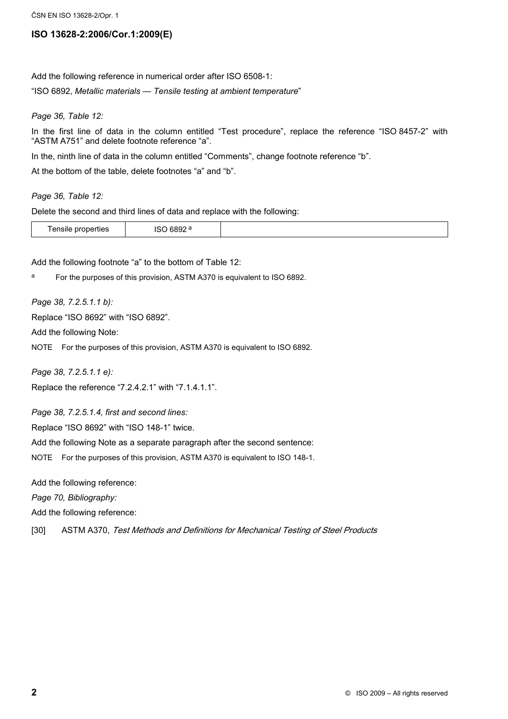ČSN EN ISO 13628-2/Opr. 1

#### **ISO 13628-2:2006/Cor.1:2009(E)**

Add the following reference in numerical order after ISO 6508-1:

"ISO 6892, *Metallic materials — Tensile testing at ambient temperature*"

*Page 36, Table 12:* 

In the first line of data in the column entitled "Test procedure", replace the reference "ISO 8457-2" with "ASTM A751" and delete footnote reference "a".

In the, ninth line of data in the column entitled "Comments", change footnote reference "b".

At the bottom of the table, delete footnotes "a" and "b".

*Page 36, Table 12:* 

Delete the second and third lines of data and replace with the following:

|  | . ens<br>$-$ - $ -$<br>asile<br>properties<br>. | $\sim$ $\sim$ $\sim$ $\sim$<br>יי?י<br>ിറാ∠<br>$\sim$ $\sim$ $\sim$ $\sim$ $\sim$ $\sim$ |  |
|--|-------------------------------------------------|------------------------------------------------------------------------------------------|--|
|--|-------------------------------------------------|------------------------------------------------------------------------------------------|--|

Add the following footnote "a" to the bottom of Table 12:

For the purposes of this provision, ASTM A370 is equivalent to ISO 6892.

*Page 38, 7.2.5.1.1 b):* 

Replace "ISO 8692" with "ISO 6892".

Add the following Note:

NOTE For the purposes of this provision, ASTM A370 is equivalent to ISO 6892.

*Page 38, 7.2.5.1.1 e):* 

Replace the reference "7.2.4.2.1" with "7.1.4.1.1".

*Page 38, 7.2.5.1.4, first and second lines:* 

Replace "ISO 8692" with "ISO 148-1" twice.

Add the following Note as a separate paragraph after the second sentence:

NOTE For the purposes of this provision, ASTM A370 is equivalent to ISO 148-1.

Add the following reference:

*Page 70, Bibliography:* 

Add the following reference:

[30] ASTM A370, Test Methods and Definitions for Mechanical Testing of Steel Products